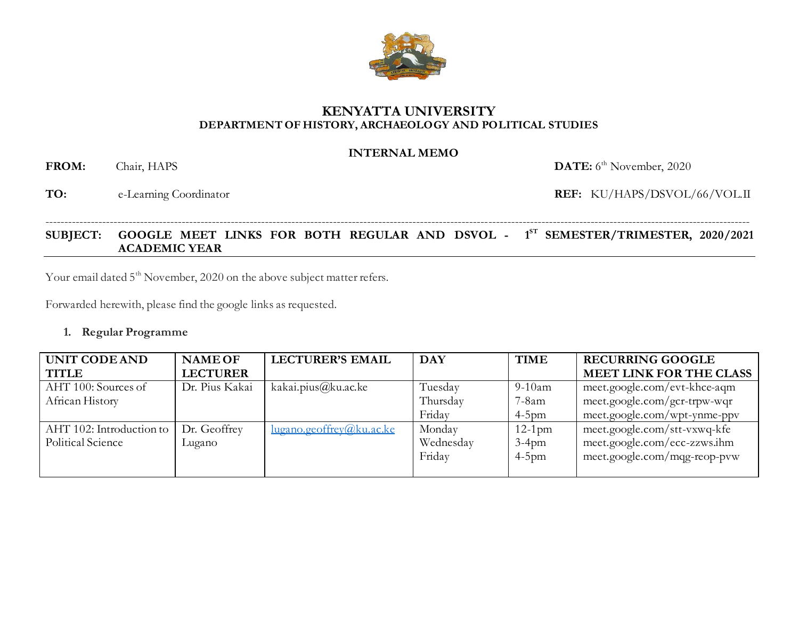# **KENYATTA UNIVERSITY DEPARTMENT OF HISTORY, ARCHAEOLOGY AND POLITICAL STUDIES**

# **INTERNAL MEMO**

FROM: Chair, HAPS

**TO:** e-Learning Coordinator **REF:** KU/HAPS/DSVOL/66/VOL.II

# **SUBJECT: GOOGLE MEET LINKS FOR BOTH REGULAR AND DSVOL - 1 ST SEMESTER/TRIMESTER, 2020/2021 ACADEMIC YEAR**

------------------------------------------------------------------------------------------------------------------------------------------------------------------------------------------

Your email dated 5<sup>th</sup> November, 2020 on the above subject matter refers.

Forwarded herewith, please find the google links as requested.

#### **1. Regular Programme**

| UNIT CODE AND            | <b>NAME OF</b>  | <b>LECTURER'S EMAIL</b>            | <b>DAY</b> | <b>TIME</b> | <b>RECURRING GOOGLE</b>        |
|--------------------------|-----------------|------------------------------------|------------|-------------|--------------------------------|
| <b>TITLE</b>             | <b>LECTURER</b> |                                    |            |             | <b>MEET LINK FOR THE CLASS</b> |
| AHT 100: Sources of      | Dr. Pius Kakai  | kakai.pius@ku.ac.ke                | Tuesday    | $9-10am$    | meet.google.com/evt-khce-aqm   |
| African History          |                 |                                    | Thursday   | $7-8am$     | $meet.google.com/gcr-trpw-wqr$ |
|                          |                 |                                    | Friday     | $4-5$ pm    | meet.google.com/wpt-ynme-ppv   |
| AHT 102: Introduction to | Dr. Geoffrey    | $\frac{\log$ ano.geoffrey@ku.ac.ke | Monday     | $12-1$ pm   | meet.google.com/stt-vxwq-kfe   |
| Political Science        | Lugano          |                                    | Wednesday  | $3-4$ pm    | meet.google.com/ecc-zzws.ihm   |
|                          |                 |                                    | Friday     | $4-5$ pm    | meet.google.com/mqg-reop-pvw   |
|                          |                 |                                    |            |             |                                |



DATE: 6<sup>th</sup> November, 2020